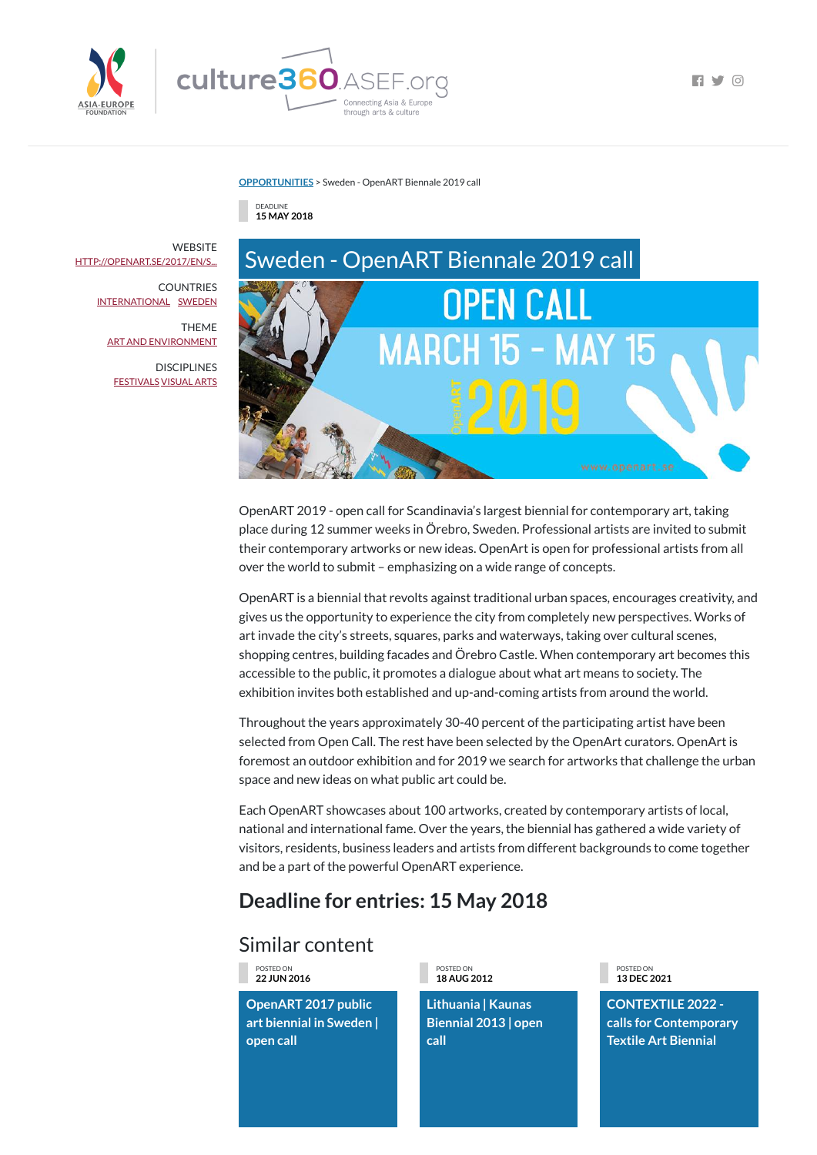

 $\Box$ 

**[OPPORTUNITIES](https://culture360.asef.org/opportunities/)** > Sweden - OpenART Biennale 2019 call

## Similar content





OpenART 2019 - open call for Scandinavia's largest biennial for contemporary art, taking place during 12 summer weeks in Örebro, Sweden. Professional artists are invited to submit their contemporary artworks or new ideas. OpenArt is open for professional artists from all over the world to submit – emphasizing on a wide range of concepts.

OpenART is a biennial that revolts against traditional urban spaces, encourages creativity, and gives us the opportunity to experience the city from completely new perspectives. Works of art invade the city's streets, squares, parks and waterways, taking over cultural scenes, shopping centres, building facades and Örebro Castle. When contemporary art becomes this accessible to the public, it promotes a dialogue about what art means to society. The exhibition invites both established and up-and-coming artists from around the world.

**WEBSITE** [HTTP://OPENART.SE/2017/EN/S...](http://openart.se/2017/en/start-2/)

> **COUNTRIES** [INTERNATIONAL](https://culture360.asef.org/countries/international/) [SWEDEN](https://culture360.asef.org/countries/sweden/)

> > **DISCIPLINES** [FESTIVALS](https://culture360.asef.org/disciplines/festivals/) [VISUAL](https://culture360.asef.org/disciplines/visual-arts/) ARTS

> > > Throughout the years approximately 30-40 percent of the participating artist have been selected from Open Call. The rest have been selected by the OpenArt curators. OpenArt is foremost an outdoor exhibition and for 2019 we search for artworks that challenge the urban space and new ideas on what public art could be.

Each OpenART showcases about 100 artworks, created by contemporary artists of local, national and international fame. Over the years, the biennial has gathered a wide variety of visitors, residents, business leaders and artists from different backgrounds to come together and be a part of the powerful OpenART experience.

## **Deadline for entries: 15 May 2018**

POSTED ON **22 JUN 2016**

**OpenART 2017 public art biennial in Sweden | open call**

POSTED ON **18 AUG 2012**

**Lithuania | Kaunas Biennial 2013 | open call**

POSTED ON **13 DEC 2021**

**CONTEXTILE 2022 calls for Contemporary Textile Art Biennial**

THEME ART AND [ENVIRONMENT](https://culture360.asef.org/themes/art-and-environment/)